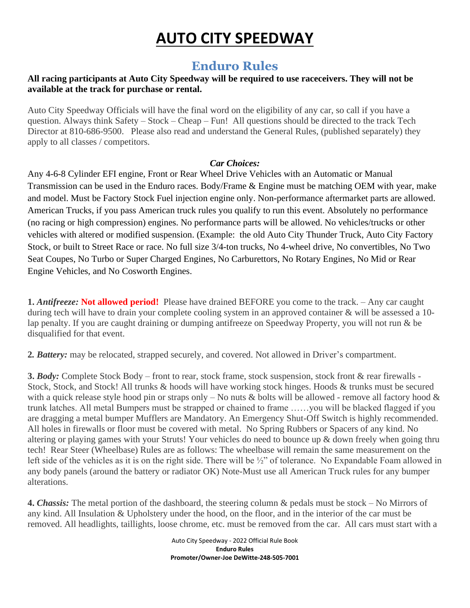# **AUTO CITY SPEEDWAY**

# **Enduro Rules**

#### **All racing participants at Auto City Speedway will be required to use raceceivers. They will not be available at the track for purchase or rental.**

Auto City Speedway Officials will have the final word on the eligibility of any car, so call if you have a question. Always think Safety – Stock – Cheap – Fun! All questions should be directed to the track Tech Director at 810-686-9500. Please also read and understand the General Rules, (published separately) they apply to all classes / competitors.

## *Car Choices:*

Any 4-6-8 Cylinder EFI engine, Front or Rear Wheel Drive Vehicles with an Automatic or Manual Transmission can be used in the Enduro races. Body/Frame & Engine must be matching OEM with year, make and model. Must be Factory Stock Fuel injection engine only. Non-performance aftermarket parts are allowed. American Trucks, if you pass American truck rules you qualify to run this event. Absolutely no performance (no racing or high compression) engines. No performance parts will be allowed. No vehicles/trucks or other vehicles with altered or modified suspension. (Example: the old Auto City Thunder Truck, Auto City Factory Stock, or built to Street Race or race. No full size 3/4-ton trucks, No 4-wheel drive, No convertibles, No Two Seat Coupes, No Turbo or Super Charged Engines, No Carburettors, No Rotary Engines, No Mid or Rear Engine Vehicles, and No Cosworth Engines.

**1.** *Antifreeze:* **Not allowed period!** Please have drained BEFORE you come to the track. – Any car caught during tech will have to drain your complete cooling system in an approved container & will be assessed a 10 lap penalty. If you are caught draining or dumping antifreeze on Speedway Property, you will not run & be disqualified for that event.

**2***. Battery:* may be relocated, strapped securely, and covered. Not allowed in Driver's compartment.

**3.** *Body:* Complete Stock Body – front to rear, stock frame, stock suspension, stock front & rear firewalls - Stock, Stock, and Stock! All trunks & hoods will have working stock hinges. Hoods & trunks must be secured with a quick release style hood pin or straps only – No nuts & bolts will be allowed - remove all factory hood  $\&$ trunk latches. All metal Bumpers must be strapped or chained to frame ……you will be blacked flagged if you are dragging a metal bumper Mufflers are Mandatory. An Emergency Shut-Off Switch is highly recommended. All holes in firewalls or floor must be covered with metal. No Spring Rubbers or Spacers of any kind. No altering or playing games with your Struts! Your vehicles do need to bounce up & down freely when going thru tech! Rear Steer (Wheelbase) Rules are as follows: The wheelbase will remain the same measurement on the left side of the vehicles as it is on the right side. There will be ½" of tolerance. No Expandable Foam allowed in any body panels (around the battery or radiator OK) Note-Must use all American Truck rules for any bumper alterations.

**4.** *Chassis:* The metal portion of the dashboard, the steering column & pedals must be stock – No Mirrors of any kind. All Insulation & Upholstery under the hood, on the floor, and in the interior of the car must be removed. All headlights, taillights, loose chrome, etc. must be removed from the car. All cars must start with a

> Auto City Speedway - 2022 Official Rule Book **Enduro Rules Promoter/Owner-Joe DeWitte-248-505-7001**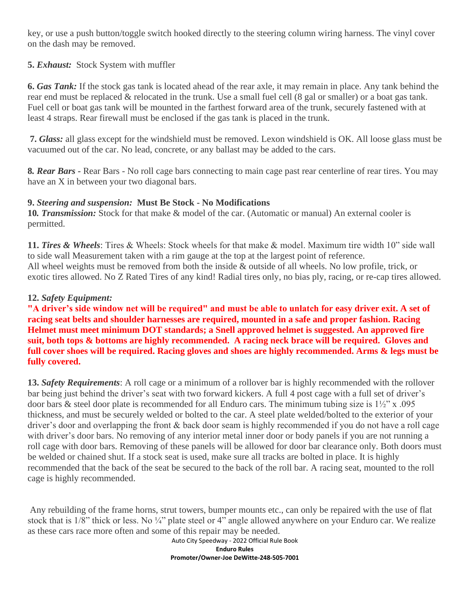key, or use a push button/toggle switch hooked directly to the steering column wiring harness. The vinyl cover on the dash may be removed.

#### **5.** *Exhaust:* Stock System with muffler

**6.** *Gas Tank:* If the stock gas tank is located ahead of the rear axle, it may remain in place. Any tank behind the rear end must be replaced & relocated in the trunk. Use a small fuel cell (8 gal or smaller) or a boat gas tank. Fuel cell or boat gas tank will be mounted in the farthest forward area of the trunk, securely fastened with at least 4 straps. Rear firewall must be enclosed if the gas tank is placed in the trunk.

**7.** *Glass:* all glass except for the windshield must be removed. Lexon windshield is OK. All loose glass must be vacuumed out of the car. No lead, concrete, or any ballast may be added to the cars.

**8***. Rear Bars -* Rear Bars - No roll cage bars connecting to main cage past rear centerline of rear tires. You may have an X in between your two diagonal bars.

#### **9.** *Steering and suspension:* **Must Be Stock - No Modifications**

**10***. Transmission:* Stock for that make & model of the car. (Automatic or manual) An external cooler is permitted.

**11.** *Tires & Wheels*: Tires & Wheels: Stock wheels for that make & model. Maximum tire width 10" side wall to side wall Measurement taken with a rim gauge at the top at the largest point of reference. All wheel weights must be removed from both the inside & outside of all wheels. No low profile, trick, or exotic tires allowed. No Z Rated Tires of any kind! Radial tires only, no bias ply, racing, or re-cap tires allowed.

#### **12.** *Safety Equipment:*

**"A driver's side window net will be required" and must be able to unlatch for easy driver exit. A set of racing seat belts and shoulder harnesses are required, mounted in a safe and proper fashion. Racing Helmet must meet minimum DOT standards; a Snell approved helmet is suggested. An approved fire suit, both tops & bottoms are highly recommended. A racing neck brace will be required. Gloves and full cover shoes will be required. Racing gloves and shoes are highly recommended. Arms & legs must be fully covered.**

**13.** *Safety Requirements*: A roll cage or a minimum of a rollover bar is highly recommended with the rollover bar being just behind the driver's seat with two forward kickers. A full 4 post cage with a full set of driver's door bars & steel door plate is recommended for all Enduro cars. The minimum tubing size is  $1\frac{1}{2}$ " x .095 thickness, and must be securely welded or bolted to the car. A steel plate welded/bolted to the exterior of your driver's door and overlapping the front & back door seam is highly recommended if you do not have a roll cage with driver's door bars. No removing of any interior metal inner door or body panels if you are not running a roll cage with door bars. Removing of these panels will be allowed for door bar clearance only. Both doors must be welded or chained shut. If a stock seat is used, make sure all tracks are bolted in place. It is highly recommended that the back of the seat be secured to the back of the roll bar. A racing seat, mounted to the roll cage is highly recommended.

Any rebuilding of the frame horns, strut towers, bumper mounts etc., can only be repaired with the use of flat stock that is  $1/8$ " thick or less. No  $\frac{1}{4}$ " plate steel or 4" angle allowed anywhere on your Enduro car. We realize as these cars race more often and some of this repair may be needed.

Auto City Speedway - 2022 Official Rule Book **Enduro Rules Promoter/Owner-Joe DeWitte-248-505-7001**